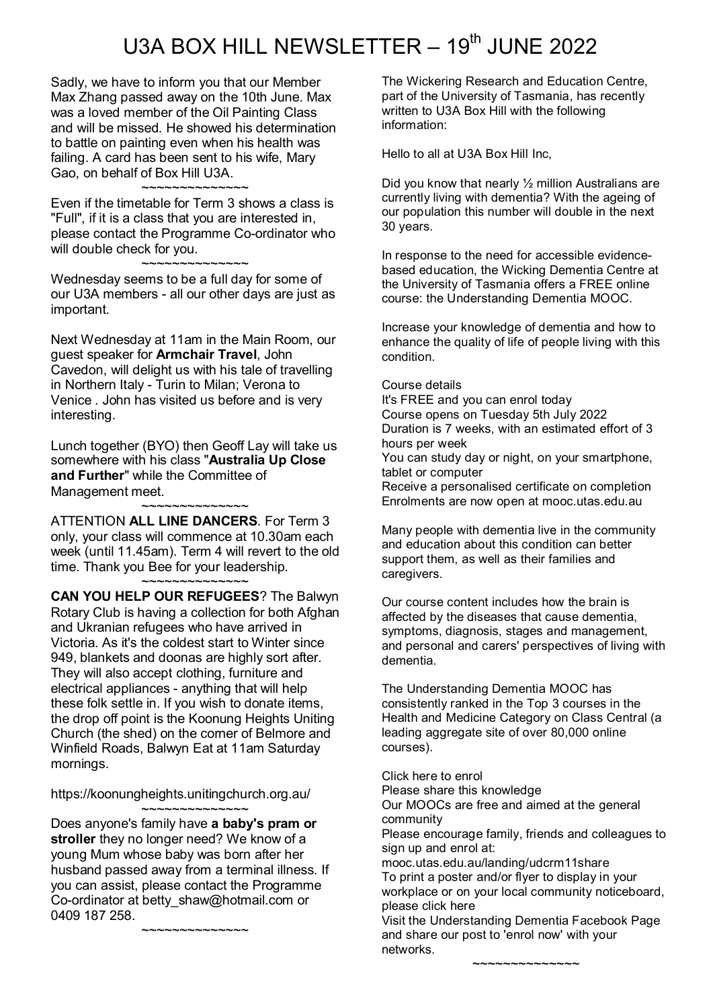## U3A BOX HILL NEWSLETTER  $-19<sup>th</sup>$  JUNE 2022

Sadly, we have to inform you that our Member Max Zhang passed away on the 10th June. Max was a loved member of the Oil Painting Class and will be missed. He showed his determination to battle on painting even when his health was failing. A card has been sent to his wife, Mary Gao, on behalf of Box Hill U3A.

~~~~~~~~~~~~~~

Even if the timetable for Term 3 shows a class is "Full", if it is a class that you are interested in, please contact the Programme Co-ordinator who will double check for you.

~~~~~~~~~~~~~~ Wednesday seems to be a full day for some of our U3A members - all our other days are just as important.

Next Wednesday at 11am in the Main Room, our guest speaker for **Armchair Travel**, John Cavedon, will delight us with his tale of travelling in Northern Italy - Turin to Milan; Verona to Venice . John has visited us before and is very interesting.

Lunch together (BYO) then Geoff Lay will take us somewhere with his class "**Australia Up Close and Further**" while the Committee of Management meet.

## ~~~~~~~~~~~~~~ ATTENTION **ALL LINE DANCERS**. For Term 3 only, your class will commence at 10.30am each week (until 11.45am). Term 4 will revert to the old time. Thank you Bee for your leadership. ~~~~~~~~~~~~~~

**CAN YOU HELP OUR REFUGEES**? The Balwyn Rotary Club is having a collection for both Afghan and Ukranian refugees who have arrived in Victoria. As it's the coldest start to Winter since 949, blankets and doonas are highly sort after. They will also accept clothing, furniture and electrical appliances - anything that will help these folk settle in. If you wish to donate items, the drop off point is the Koonung Heights Uniting Church (the shed) on the corner of Belmore and Winfield Roads, Balwyn Eat at 11am Saturday mornings.

https://koonungheights.unitingchurch.org.au/

~~~~~~~~~~~~~~ Does anyone's family have **a baby's pram or stroller** they no longer need? We know of a young Mum whose baby was born after her husband passed away from a terminal illness. If you can assist, please contact the Programme Co-ordinator at betty\_shaw@hotmail.com or 0409 187 258.

~~~~~~~~~~~~~~

The Wickering Research and Education Centre, part of the University of Tasmania, has recently written to U3A Box Hill with the following information:

Hello to all at U3A Box Hill Inc,

Did you know that nearly ½ million Australians are currently living with dementia? With the ageing of our population this number will double in the next 30 years.

In response to the need for accessible evidencebased education, the Wicking Dementia Centre at the University of Tasmania offers a FREE online course: the Understanding Dementia MOOC.

Increase your knowledge of dementia and how to enhance the quality of life of people living with this condition.

## Course details

It's FREE and you can enrol today Course opens on Tuesday 5th July 2022 Duration is 7 weeks, with an estimated effort of 3 hours per week You can study day or night, on your smartphone, tablet or computer Receive a personalised certificate on completion

Enrolments are now open at mooc.utas.edu.au

Many people with dementia live in the community and education about this condition can better support them, as well as their families and caregivers.

Our course content includes how the brain is affected by the diseases that cause dementia, symptoms, diagnosis, stages and management, and personal and carers' perspectives of living with dementia.

The Understanding Dementia MOOC has consistently ranked in the Top 3 courses in the Health and Medicine Category on Class Central (a leading aggregate site of over 80,000 online courses).

Click here to enrol

Please share this knowledge

Our MOOCs are free and aimed at the general community

Please encourage family, friends and colleagues to sign up and enrol at:

mooc.utas.edu.au/landing/udcrm11share To print a poster and/or flyer to display in your workplace or on your local community noticeboard, please click here

Visit the Understanding Dementia Facebook Page and share our post to 'enrol now' with your networks.

~~~~~~~~~~~~~~